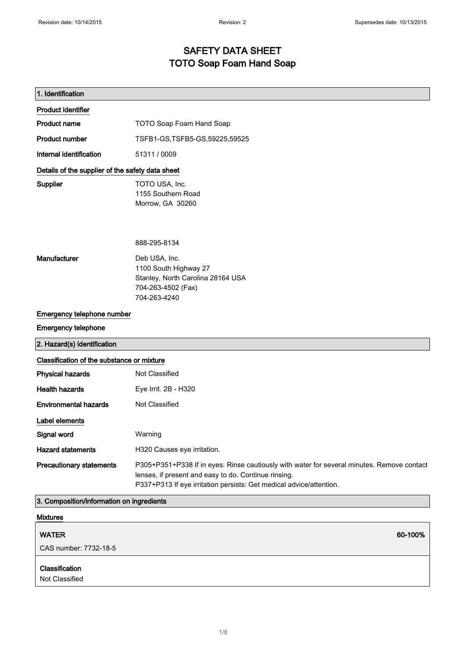### SAFETY DATA SHEET TOTO Soap Foam Hand Soap

| 1. Identification                                |                                                                                                                                                                                                                           |
|--------------------------------------------------|---------------------------------------------------------------------------------------------------------------------------------------------------------------------------------------------------------------------------|
| <b>Product identifier</b>                        |                                                                                                                                                                                                                           |
| <b>Product name</b>                              | <b>TOTO Soap Foam Hand Soap</b>                                                                                                                                                                                           |
| <b>Product number</b>                            | TSFB1-GS, TSFB5-GS, 59225, 59525                                                                                                                                                                                          |
| Internal identification                          | 51311 / 0009                                                                                                                                                                                                              |
| Details of the supplier of the safety data sheet |                                                                                                                                                                                                                           |
| Supplier                                         | TOTO USA, Inc.<br>1155 Southern Road<br>Morrow, GA 30260                                                                                                                                                                  |
|                                                  | 888-295-8134                                                                                                                                                                                                              |
| Manufacturer                                     | Deb USA, Inc.<br>1100 South Highway 27<br>Stanley, North Carolina 28164 USA<br>704-263-4502 (Fax)<br>704-263-4240                                                                                                         |
| Emergency telephone number                       |                                                                                                                                                                                                                           |
| <b>Emergency telephone</b>                       |                                                                                                                                                                                                                           |
| 2. Hazard(s) identification                      |                                                                                                                                                                                                                           |
| Classification of the substance or mixture       |                                                                                                                                                                                                                           |
| <b>Physical hazards</b>                          | Not Classified                                                                                                                                                                                                            |
| <b>Health hazards</b>                            | Eye Irrit. 2B - H320                                                                                                                                                                                                      |
| <b>Environmental hazards</b>                     | Not Classified                                                                                                                                                                                                            |
| <b>Label elements</b>                            |                                                                                                                                                                                                                           |
| Signal word                                      | Warning                                                                                                                                                                                                                   |
| <b>Hazard statements</b>                         | H320 Causes eye irritation.                                                                                                                                                                                               |
| <b>Precautionary statements</b>                  | P305+P351+P338 If in eyes: Rinse cautiously with water for several minutes. Remove contact<br>lenses, if present and easy to do. Continue rinsing.<br>P337+P313 If eye irritation persists: Get medical advice/attention. |
| 3. Composition/information on ingredients        |                                                                                                                                                                                                                           |

| Mixtures                         |         |
|----------------------------------|---------|
| <b>WATER</b>                     | 60-100% |
| CAS number: 7732-18-5            |         |
| Classification<br>Not Classified |         |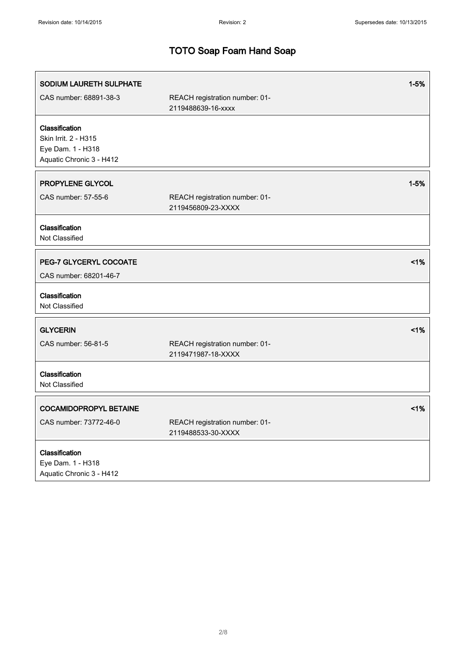| SODIUM LAURETH SULPHATE                                                                 |                                                      | $1 - 5%$ |
|-----------------------------------------------------------------------------------------|------------------------------------------------------|----------|
| CAS number: 68891-38-3                                                                  | REACH registration number: 01-<br>2119488639-16-xxxx |          |
| Classification<br>Skin Irrit. 2 - H315<br>Eye Dam. 1 - H318<br>Aquatic Chronic 3 - H412 |                                                      |          |
| PROPYLENE GLYCOL<br>CAS number: 57-55-6                                                 | REACH registration number: 01-<br>2119456809-23-XXXX | $1 - 5%$ |
| Classification<br>Not Classified                                                        |                                                      |          |
| PEG-7 GLYCERYL COCOATE<br>CAS number: 68201-46-7                                        |                                                      | 1%       |
| Classification<br>Not Classified                                                        |                                                      |          |
| <b>GLYCERIN</b><br>CAS number: 56-81-5                                                  | REACH registration number: 01-<br>2119471987-18-XXXX | $1\%$    |
| Classification<br>Not Classified                                                        |                                                      |          |
| <b>COCAMIDOPROPYL BETAINE</b><br>CAS number: 73772-46-0                                 | REACH registration number: 01-<br>2119488533-30-XXXX | 1%       |
| Classification<br>Eye Dam. 1 - H318<br>Aquatic Chronic 3 - H412                         |                                                      |          |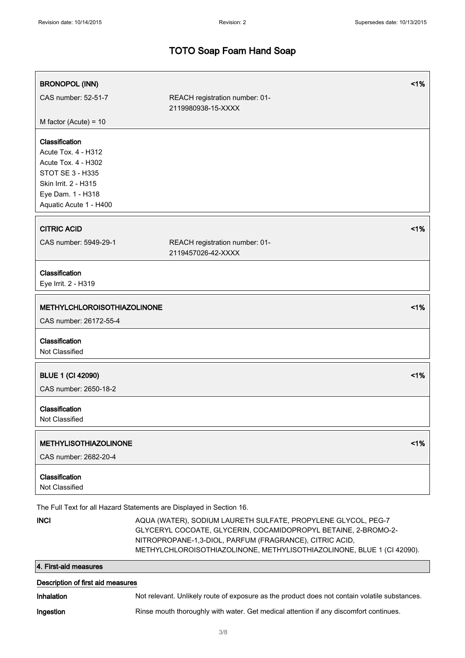| <b>BRONOPOL (INN)</b>                                                                                                                                          |                                                                                                                                                                                                                                                                      | 1% |
|----------------------------------------------------------------------------------------------------------------------------------------------------------------|----------------------------------------------------------------------------------------------------------------------------------------------------------------------------------------------------------------------------------------------------------------------|----|
| CAS number: 52-51-7                                                                                                                                            | REACH registration number: 01-<br>2119980938-15-XXXX                                                                                                                                                                                                                 |    |
| M factor (Acute) = $10$                                                                                                                                        |                                                                                                                                                                                                                                                                      |    |
| Classification<br>Acute Tox. 4 - H312<br>Acute Tox. 4 - H302<br><b>STOT SE 3 - H335</b><br>Skin Irrit. 2 - H315<br>Eye Dam. 1 - H318<br>Aquatic Acute 1 - H400 |                                                                                                                                                                                                                                                                      |    |
| <b>CITRIC ACID</b>                                                                                                                                             |                                                                                                                                                                                                                                                                      | 1% |
| CAS number: 5949-29-1                                                                                                                                          | REACH registration number: 01-<br>2119457026-42-XXXX                                                                                                                                                                                                                 |    |
| Classification<br>Eye Irrit. 2 - H319                                                                                                                          |                                                                                                                                                                                                                                                                      |    |
| <b>METHYLCHLOROISOTHIAZOLINONE</b>                                                                                                                             |                                                                                                                                                                                                                                                                      | 1% |
| CAS number: 26172-55-4                                                                                                                                         |                                                                                                                                                                                                                                                                      |    |
| Classification<br>Not Classified                                                                                                                               |                                                                                                                                                                                                                                                                      |    |
| <b>BLUE 1 (CI 42090)</b>                                                                                                                                       |                                                                                                                                                                                                                                                                      | 1% |
| CAS number: 2650-18-2                                                                                                                                          |                                                                                                                                                                                                                                                                      |    |
| Classification<br>Not Classified                                                                                                                               |                                                                                                                                                                                                                                                                      |    |
| <b>METHYLISOTHIAZOLINONE</b>                                                                                                                                   |                                                                                                                                                                                                                                                                      | 1% |
| CAS number: 2682-20-4                                                                                                                                          |                                                                                                                                                                                                                                                                      |    |
| Classification<br>Not Classified                                                                                                                               |                                                                                                                                                                                                                                                                      |    |
|                                                                                                                                                                | The Full Text for all Hazard Statements are Displayed in Section 16.                                                                                                                                                                                                 |    |
| <b>INCI</b>                                                                                                                                                    | AQUA (WATER), SODIUM LAURETH SULFATE, PROPYLENE GLYCOL, PEG-7<br>GLYCERYL COCOATE, GLYCERIN, COCAMIDOPROPYL BETAINE, 2-BROMO-2-<br>NITROPROPANE-1,3-DIOL, PARFUM (FRAGRANCE), CITRIC ACID,<br>METHYLCHLOROISOTHIAZOLINONE, METHYLISOTHIAZOLINONE, BLUE 1 (CI 42090). |    |
| 4. First-aid measures                                                                                                                                          |                                                                                                                                                                                                                                                                      |    |

| Description of first aid measures |                                                                                               |  |
|-----------------------------------|-----------------------------------------------------------------------------------------------|--|
| <b>Inhalation</b>                 | Not relevant. Unlikely route of exposure as the product does not contain volatile substances. |  |
| Ingestion                         | Rinse mouth thoroughly with water. Get medical attention if any discomfort continues.         |  |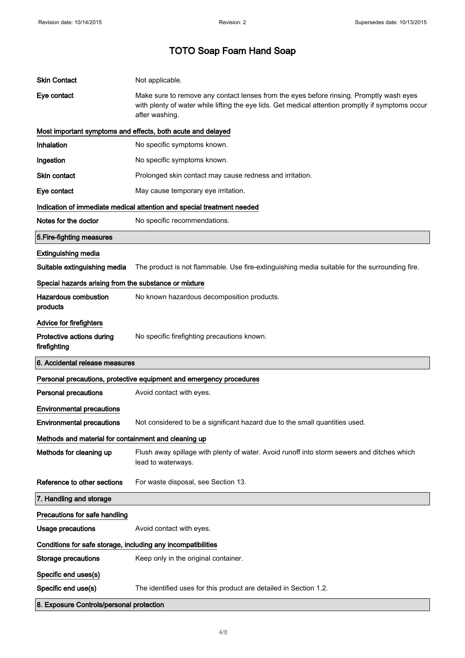| <b>Skin Contact</b>                                          | Not applicable.                                                                                                                                                                                                |
|--------------------------------------------------------------|----------------------------------------------------------------------------------------------------------------------------------------------------------------------------------------------------------------|
| Eye contact                                                  | Make sure to remove any contact lenses from the eyes before rinsing. Promptly wash eyes<br>with plenty of water while lifting the eye lids. Get medical attention promptly if symptoms occur<br>after washing. |
|                                                              | Most important symptoms and effects, both acute and delayed                                                                                                                                                    |
| <b>Inhalation</b>                                            | No specific symptoms known.                                                                                                                                                                                    |
| Ingestion                                                    | No specific symptoms known.                                                                                                                                                                                    |
| Skin contact                                                 | Prolonged skin contact may cause redness and irritation.                                                                                                                                                       |
| Eye contact                                                  | May cause temporary eye irritation.                                                                                                                                                                            |
|                                                              | Indication of immediate medical attention and special treatment needed                                                                                                                                         |
| Notes for the doctor                                         | No specific recommendations.                                                                                                                                                                                   |
| 5. Fire-fighting measures                                    |                                                                                                                                                                                                                |
| <b>Extinguishing media</b>                                   |                                                                                                                                                                                                                |
| Suitable extinguishing media                                 | The product is not flammable. Use fire-extinguishing media suitable for the surrounding fire.                                                                                                                  |
| Special hazards arising from the substance or mixture        |                                                                                                                                                                                                                |
| Hazardous combustion<br>products                             | No known hazardous decomposition products.                                                                                                                                                                     |
| Advice for firefighters                                      |                                                                                                                                                                                                                |
| Protective actions during<br>firefighting                    | No specific firefighting precautions known.                                                                                                                                                                    |
| 6. Accidental release measures                               |                                                                                                                                                                                                                |
|                                                              |                                                                                                                                                                                                                |
|                                                              | Personal precautions, protective equipment and emergency procedures                                                                                                                                            |
| <b>Personal precautions</b>                                  | Avoid contact with eyes.                                                                                                                                                                                       |
| <b>Environmental precautions</b>                             |                                                                                                                                                                                                                |
| Environmental precautions                                    | Not considered to be a significant hazard due to the small quantities used                                                                                                                                     |
| Methods and material for containment and cleaning up         |                                                                                                                                                                                                                |
| Methods for cleaning up                                      | Flush away spillage with plenty of water. Avoid runoff into storm sewers and ditches which<br>lead to waterways.                                                                                               |
| Reference to other sections                                  | For waste disposal, see Section 13.                                                                                                                                                                            |
| 7. Handling and storage                                      |                                                                                                                                                                                                                |
| Precautions for safe handling                                |                                                                                                                                                                                                                |
| <b>Usage precautions</b>                                     | Avoid contact with eyes.                                                                                                                                                                                       |
| Conditions for safe storage, including any incompatibilities |                                                                                                                                                                                                                |
| <b>Storage precautions</b>                                   | Keep only in the original container.                                                                                                                                                                           |
| Specific end uses(s)                                         |                                                                                                                                                                                                                |
| Specific end use(s)                                          | The identified uses for this product are detailed in Section 1.2.                                                                                                                                              |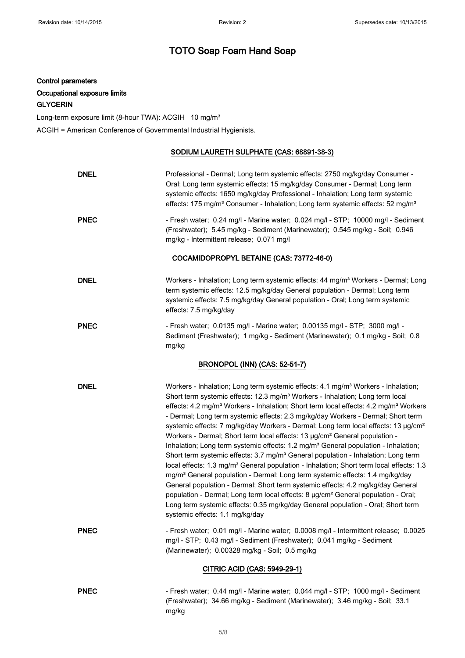#### Control parameters

#### Occupational exposure limits

#### **GLYCERIN**

Long-term exposure limit (8-hour TWA): ACGIH 10 mg/m<sup>3</sup>

ACGIH = American Conference of Governmental Industrial Hygienists.

#### SODIUM LAURETH SULPHATE (CAS: 68891-38-3)

| <b>DNEL</b>                  | Professional - Dermal; Long term systemic effects: 2750 mg/kg/day Consumer -<br>Oral; Long term systemic effects: 15 mg/kg/day Consumer - Dermal; Long term<br>systemic effects: 1650 mg/kg/day Professional - Inhalation; Long term systemic<br>effects: 175 mg/m <sup>3</sup> Consumer - Inhalation; Long term systemic effects: 52 mg/m <sup>3</sup>                                                                                                                                                                                                                                                                                                                                                                                                                                                                                                                                                                                                                                                                                                                                                                                                                                                                                                                                                     |
|------------------------------|-------------------------------------------------------------------------------------------------------------------------------------------------------------------------------------------------------------------------------------------------------------------------------------------------------------------------------------------------------------------------------------------------------------------------------------------------------------------------------------------------------------------------------------------------------------------------------------------------------------------------------------------------------------------------------------------------------------------------------------------------------------------------------------------------------------------------------------------------------------------------------------------------------------------------------------------------------------------------------------------------------------------------------------------------------------------------------------------------------------------------------------------------------------------------------------------------------------------------------------------------------------------------------------------------------------|
| <b>PNEC</b>                  | - Fresh water; 0.24 mg/l - Marine water; 0.024 mg/l - STP; 10000 mg/l - Sediment<br>(Freshwater); 5.45 mg/kg - Sediment (Marinewater); 0.545 mg/kg - Soil; 0.946<br>mg/kg - Intermittent release; 0.071 mg/l                                                                                                                                                                                                                                                                                                                                                                                                                                                                                                                                                                                                                                                                                                                                                                                                                                                                                                                                                                                                                                                                                                |
|                              | COCAMIDOPROPYL BETAINE (CAS: 73772-46-0)                                                                                                                                                                                                                                                                                                                                                                                                                                                                                                                                                                                                                                                                                                                                                                                                                                                                                                                                                                                                                                                                                                                                                                                                                                                                    |
| <b>DNEL</b>                  | Workers - Inhalation; Long term systemic effects: 44 mg/m <sup>3</sup> Workers - Dermal; Long<br>term systemic effects: 12.5 mg/kg/day General population - Dermal; Long term<br>systemic effects: 7.5 mg/kg/day General population - Oral; Long term systemic<br>effects: 7.5 mg/kg/day                                                                                                                                                                                                                                                                                                                                                                                                                                                                                                                                                                                                                                                                                                                                                                                                                                                                                                                                                                                                                    |
| <b>PNEC</b>                  | - Fresh water; 0.0135 mg/l - Marine water; 0.00135 mg/l - STP; 3000 mg/l -<br>Sediment (Freshwater); 1 mg/kg - Sediment (Marinewater); 0.1 mg/kg - Soil; 0.8<br>mg/kg                                                                                                                                                                                                                                                                                                                                                                                                                                                                                                                                                                                                                                                                                                                                                                                                                                                                                                                                                                                                                                                                                                                                       |
|                              | <b>BRONOPOL (INN) (CAS: 52-51-7)</b>                                                                                                                                                                                                                                                                                                                                                                                                                                                                                                                                                                                                                                                                                                                                                                                                                                                                                                                                                                                                                                                                                                                                                                                                                                                                        |
| <b>DNEL</b>                  | Workers - Inhalation; Long term systemic effects: 4.1 mg/m <sup>3</sup> Workers - Inhalation;<br>Short term systemic effects: 12.3 mg/m <sup>3</sup> Workers - Inhalation; Long term local<br>effects: 4.2 mg/m <sup>3</sup> Workers - Inhalation; Short term local effects: 4.2 mg/m <sup>3</sup> Workers<br>- Dermal; Long term systemic effects: 2.3 mg/kg/day Workers - Dermal; Short term<br>systemic effects: 7 mg/kg/day Workers - Dermal; Long term local effects: 13 µg/cm <sup>2</sup><br>Workers - Dermal; Short term local effects: 13 µg/cm <sup>2</sup> General population -<br>Inhalation; Long term systemic effects: 1.2 mg/m <sup>3</sup> General population - Inhalation;<br>Short term systemic effects: 3.7 mg/m <sup>3</sup> General population - Inhalation; Long term<br>local effects: 1.3 mg/m <sup>3</sup> General population - Inhalation; Short term local effects: 1.3<br>mg/m <sup>3</sup> General population - Dermal; Long term systemic effects: 1.4 mg/kg/day<br>General population - Dermal; Short term systemic effects: 4.2 mg/kg/day General<br>population - Dermal; Long term local effects: 8 µg/cm <sup>2</sup> General population - Oral;<br>Long term systemic effects: 0.35 mg/kg/day General population - Oral; Short term<br>systemic effects: 1.1 mg/kg/day |
| <b>PNEC</b>                  | - Fresh water; 0.01 mg/l - Marine water; 0.0008 mg/l - Intermittent release; 0.0025<br>mg/l - STP; 0.43 mg/l - Sediment (Freshwater); 0.041 mg/kg - Sediment<br>(Marinewater); 0.00328 mg/kg - Soil; 0.5 mg/kg                                                                                                                                                                                                                                                                                                                                                                                                                                                                                                                                                                                                                                                                                                                                                                                                                                                                                                                                                                                                                                                                                              |
| CITRIC ACID (CAS: 5949-29-1) |                                                                                                                                                                                                                                                                                                                                                                                                                                                                                                                                                                                                                                                                                                                                                                                                                                                                                                                                                                                                                                                                                                                                                                                                                                                                                                             |
| <b>PNEC</b>                  | - Fresh water; 0.44 mg/l - Marine water; 0.044 mg/l - STP; 1000 mg/l - Sediment<br>(Freshwater); 34.66 mg/kg - Sediment (Marinewater); 3.46 mg/kg - Soil; 33.1<br>mg/kg                                                                                                                                                                                                                                                                                                                                                                                                                                                                                                                                                                                                                                                                                                                                                                                                                                                                                                                                                                                                                                                                                                                                     |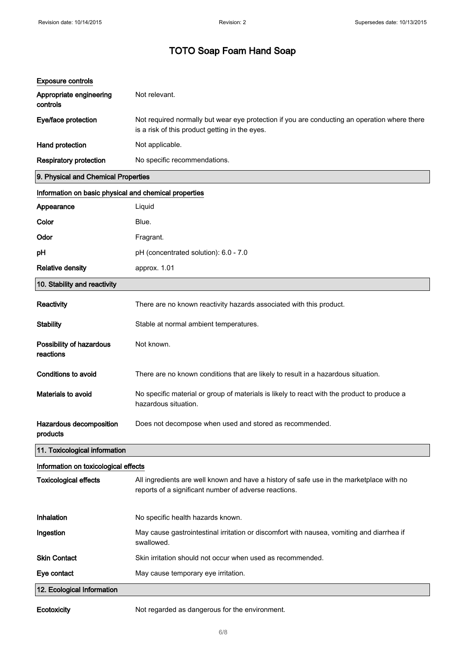| <b>Exposure controls</b>                              |                                                                                                                                                   |
|-------------------------------------------------------|---------------------------------------------------------------------------------------------------------------------------------------------------|
| Appropriate engineering<br>controls                   | Not relevant.                                                                                                                                     |
| Eye/face protection                                   | Not required normally but wear eye protection if you are conducting an operation where there<br>is a risk of this product getting in the eyes.    |
| Hand protection                                       | Not applicable.                                                                                                                                   |
| <b>Respiratory protection</b>                         | No specific recommendations.                                                                                                                      |
| 9. Physical and Chemical Properties                   |                                                                                                                                                   |
| Information on basic physical and chemical properties |                                                                                                                                                   |
| Appearance                                            | Liquid                                                                                                                                            |
| Color                                                 | Blue.                                                                                                                                             |
| Odor                                                  | Fragrant.                                                                                                                                         |
| рH                                                    | pH (concentrated solution): 6.0 - 7.0                                                                                                             |
| <b>Relative density</b>                               | approx. 1.01                                                                                                                                      |
| 10. Stability and reactivity                          |                                                                                                                                                   |
| Reactivity                                            | There are no known reactivity hazards associated with this product.                                                                               |
| <b>Stability</b>                                      | Stable at normal ambient temperatures.                                                                                                            |
| Possibility of hazardous<br>reactions                 | Not known.                                                                                                                                        |
| <b>Conditions to avoid</b>                            | There are no known conditions that are likely to result in a hazardous situation.                                                                 |
| <b>Materials to avoid</b>                             | No specific material or group of materials is likely to react with the product to produce a<br>hazardous situation.                               |
| <b>Hazardous decomposition</b><br>products            | Does not decompose when used and stored as recommended.                                                                                           |
| 11. Toxicological information                         |                                                                                                                                                   |
| Information on toxicological effects                  |                                                                                                                                                   |
| <b>Toxicological effects</b>                          | All ingredients are well known and have a history of safe use in the marketplace with no<br>reports of a significant number of adverse reactions. |
| Inhalation                                            | No specific health hazards known.                                                                                                                 |
| Ingestion                                             | May cause gastrointestinal irritation or discomfort with nausea, vomiting and diarrhea if<br>swallowed.                                           |
| <b>Skin Contact</b>                                   | Skin irritation should not occur when used as recommended.                                                                                        |
| Eye contact                                           | May cause temporary eye irritation.                                                                                                               |
| 12. Ecological Information                            |                                                                                                                                                   |
| Ecotoxicity                                           | Not regarded as dangerous for the environment.                                                                                                    |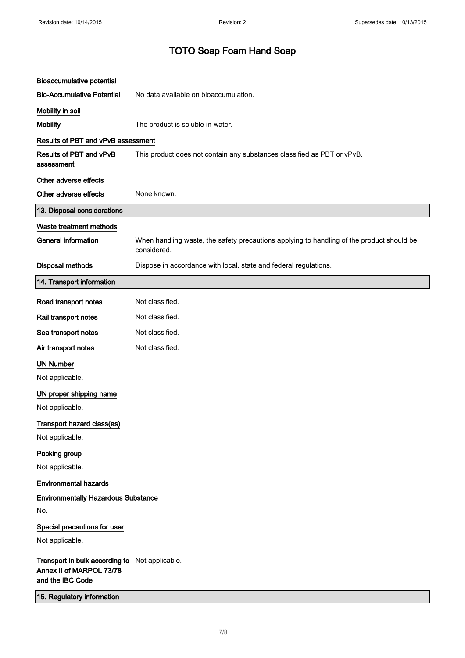| <b>Bioaccumulative potential</b>                                                               |                                                                                                          |
|------------------------------------------------------------------------------------------------|----------------------------------------------------------------------------------------------------------|
| <b>Bio-Accumulative Potential</b>                                                              | No data available on bioaccumulation.                                                                    |
| Mobility in soil                                                                               |                                                                                                          |
| <b>Mobility</b>                                                                                | The product is soluble in water.                                                                         |
| <b>Results of PBT and vPvB assessment</b>                                                      |                                                                                                          |
| Results of PBT and vPvB<br>assessment                                                          | This product does not contain any substances classified as PBT or vPvB.                                  |
| Other adverse effects                                                                          |                                                                                                          |
| Other adverse effects                                                                          | None known.                                                                                              |
| 13. Disposal considerations                                                                    |                                                                                                          |
| Waste treatment methods                                                                        |                                                                                                          |
| <b>General information</b>                                                                     | When handling waste, the safety precautions applying to handling of the product should be<br>considered. |
| <b>Disposal methods</b>                                                                        | Dispose in accordance with local, state and federal regulations.                                         |
| 14. Transport information                                                                      |                                                                                                          |
| Road transport notes                                                                           | Not classified.                                                                                          |
| Rail transport notes                                                                           | Not classified.                                                                                          |
| Sea transport notes                                                                            | Not classified.                                                                                          |
| Air transport notes                                                                            | Not classified.                                                                                          |
| <b>UN Number</b>                                                                               |                                                                                                          |
| Not applicable.                                                                                |                                                                                                          |
| UN proper shipping name                                                                        |                                                                                                          |
| Not applicable.                                                                                |                                                                                                          |
| Transport hazard class(es)                                                                     |                                                                                                          |
| Not applicable.                                                                                |                                                                                                          |
| Packing group                                                                                  |                                                                                                          |
| Not applicable.                                                                                |                                                                                                          |
| <b>Environmental hazards</b>                                                                   |                                                                                                          |
| <b>Environmentally Hazardous Substance</b>                                                     |                                                                                                          |
| No.                                                                                            |                                                                                                          |
| Special precautions for user                                                                   |                                                                                                          |
| Not applicable.                                                                                |                                                                                                          |
| Transport in bulk according to Not applicable.<br>Annex II of MARPOL 73/78<br>and the IBC Code |                                                                                                          |
| 15. Regulatory information                                                                     |                                                                                                          |